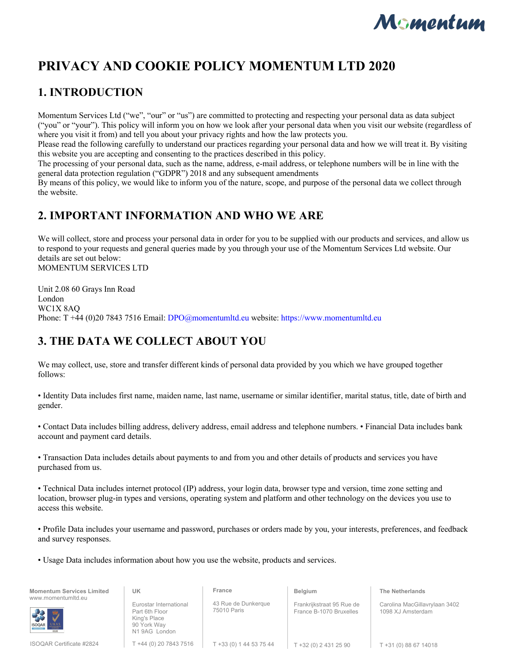

# **PRIVACY AND COOKIE POLICY MOMENTUM LTD 2020**

## **1. INTRODUCTION**

Momentum Services Ltd ("we", "our" or "us") are committed to protecting and respecting your personal data as data subject ("you" or "your"). This policy will inform you on how we look after your personal data when you visit our website (regardless of where you visit it from) and tell you about your privacy rights and how the law protects you.

Please read the following carefully to understand our practices regarding your personal data and how we will treat it. By visiting this website you are accepting and consenting to the practices described in this policy.

The processing of your personal data, such as the name, address, e-mail address, or telephone numbers will be in line with the general data protection regulation ("GDPR") 2018 and any subsequent amendments

By means of this policy, we would like to inform you of the nature, scope, and purpose of the personal data we collect through the website.

## **2. IMPORTANT INFORMATION AND WHO WE ARE**

We will collect, store and process your personal data in order for you to be supplied with our products and services, and allow us to respond to your requests and general queries made by you through your use of the Momentum Services Ltd website. Our details are set out below: MOMENTUM SERVICES LTD

Unit 2.08 60 Grays Inn Road London WC1X 8AQ Phone: T +44 (0)20 7843 7516 Email: DPO@momentumltd.eu website: https://www.momentumltd.eu

## **3. THE DATA WE COLLECT ABOUT YOU**

We may collect, use, store and transfer different kinds of personal data provided by you which we have grouped together follows:

• Identity Data includes first name, maiden name, last name, username or similar identifier, marital status, title, date of birth and gender.

• Contact Data includes billing address, delivery address, email address and telephone numbers. • Financial Data includes bank account and payment card details.

• Transaction Data includes details about payments to and from you and other details of products and services you have purchased from us.

• Technical Data includes internet protocol (IP) address, your login data, browser type and version, time zone setting and location, browser plug-in types and versions, operating system and platform and other technology on the devices you use to access this website.

• Profile Data includes your username and password, purchases or orders made by you, your interests, preferences, and feedback and survey responses.

• Usage Data includes information about how you use the website, products and services.

**Momentum Services Limited** www.momentumltd.eu



ISOQAR Certificate #2824

Eurostar International Part 6th Floor King's Place 90 York Way N1 9AG London T +44 (0) 20 7843 7516

**UK** 

43 Rue de Dunkerque 75010 Paris

T +33 (0) 1 44 53 75 44

**France** 

Frankrijkstraat 95 Rue de France B-1070 Bruxelles

**Belgium** 

**The Netherlands**

Carolina MacGillavrylaan 3402 1098 XJ Amsterdam

T +32 (0) 2 431 25 90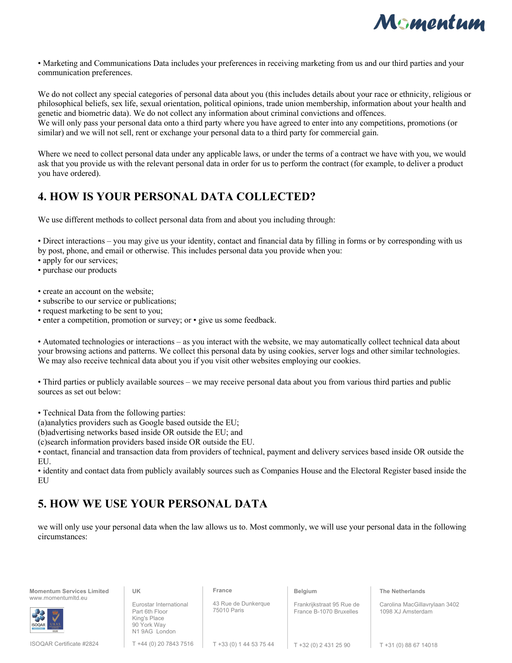

• Marketing and Communications Data includes your preferences in receiving marketing from us and our third parties and your communication preferences.

We do not collect any special categories of personal data about you (this includes details about your race or ethnicity, religious or philosophical beliefs, sex life, sexual orientation, political opinions, trade union membership, information about your health and genetic and biometric data). We do not collect any information about criminal convictions and offences. We will only pass your personal data onto a third party where you have agreed to enter into any competitions, promotions (or similar) and we will not sell, rent or exchange your personal data to a third party for commercial gain.

Where we need to collect personal data under any applicable laws, or under the terms of a contract we have with you, we would ask that you provide us with the relevant personal data in order for us to perform the contract (for example, to deliver a product you have ordered).

### **4. HOW IS YOUR PERSONAL DATA COLLECTED?**

We use different methods to collect personal data from and about you including through:

• Direct interactions – you may give us your identity, contact and financial data by filling in forms or by corresponding with us by post, phone, and email or otherwise. This includes personal data you provide when you:

• apply for our services;

• purchase our products

• create an account on the website;

• subscribe to our service or publications;

• request marketing to be sent to you;

• enter a competition, promotion or survey; or • give us some feedback.

• Automated technologies or interactions – as you interact with the website, we may automatically collect technical data about your browsing actions and patterns. We collect this personal data by using cookies, server logs and other similar technologies. We may also receive technical data about you if you visit other websites employing our cookies.

• Third parties or publicly available sources – we may receive personal data about you from various third parties and public sources as set out below:

• Technical Data from the following parties:

(a)analytics providers such as Google based outside the EU;

(b)advertising networks based inside OR outside the EU; and

(c)search information providers based inside OR outside the EU.

• contact, financial and transaction data from providers of technical, payment and delivery services based inside OR outside the EU.

• identity and contact data from publicly availably sources such as Companies House and the Electoral Register based inside the EU

## **5. HOW WE USE YOUR PERSONAL DATA**

we will only use your personal data when the law allows us to. Most commonly, we will use your personal data in the following circumstances:

**Momentum Services Limited** www.momentumltd.eu

Eurostar International Part 6th Floor

**UK** 

King's Place 90 York Way N1 9AG London 43 Rue de Dunkerque 75010 Paris

**France** 

**Belgium** 

Frankrijkstraat 95 Rue de France B-1070 Bruxelles

**The Netherlands**

Carolina MacGillavrylaan 3402 1098 XJ Amsterdam

ISOQAR Certificate #2824

T +44 (0) 20 7843 7516

T +33 (0) 1 44 53 75 44

T +32 (0) 2 431 25 90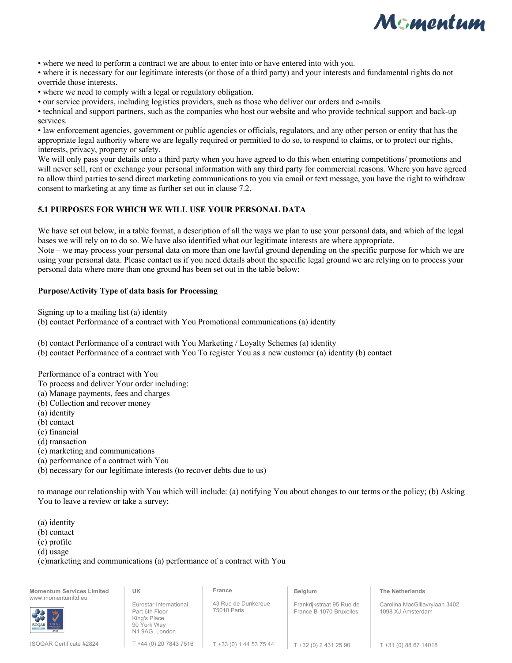

• where we need to perform a contract we are about to enter into or have entered into with you.

• where it is necessary for our legitimate interests (or those of a third party) and your interests and fundamental rights do not override those interests.

• where we need to comply with a legal or regulatory obligation.

• our service providers, including logistics providers, such as those who deliver our orders and e-mails.

• technical and support partners, such as the companies who host our website and who provide technical support and back-up services.

• law enforcement agencies, government or public agencies or officials, regulators, and any other person or entity that has the appropriate legal authority where we are legally required or permitted to do so, to respond to claims, or to protect our rights, interests, privacy, property or safety.

We will only pass your details onto a third party when you have agreed to do this when entering competitions/ promotions and will never sell, rent or exchange your personal information with any third party for commercial reasons. Where you have agreed to allow third parties to send direct marketing communications to you via email or text message, you have the right to withdraw consent to marketing at any time as further set out in clause 7.2.

#### **5.1 PURPOSES FOR WHICH WE WILL USE YOUR PERSONAL DATA**

We have set out below, in a table format, a description of all the ways we plan to use your personal data, and which of the legal bases we will rely on to do so. We have also identified what our legitimate interests are where appropriate.

Note – we may process your personal data on more than one lawful ground depending on the specific purpose for which we are using your personal data. Please contact us if you need details about the specific legal ground we are relying on to process your personal data where more than one ground has been set out in the table below:

#### **Purpose/Activity Type of data basis for Processing**

Signing up to a mailing list (a) identity

(b) contact Performance of a contract with You Promotional communications (a) identity

(b) contact Performance of a contract with You Marketing / Loyalty Schemes (a) identity

(b) contact Performance of a contract with You To register You as a new customer (a) identity (b) contact

Performance of a contract with You

To process and deliver Your order including:

(a) Manage payments, fees and charges

(b) Collection and recover money

(a) identity

(b) contact

(c) financial

(d) transaction

(e) marketing and communications

(a) performance of a contract with You

(b) necessary for our legitimate interests (to recover debts due to us)

to manage our relationship with You which will include: (a) notifying You about changes to our terms or the policy; (b) Asking You to leave a review or take a survey;

(a) identity

(b) contact

(c) profile

(d) usage

(e)marketing and communications (a) performance of a contract with You

| <b>Momentum Services Limited</b><br>www.momentumltd.eu | UK                                                                                       | France                             | <b>Belgium</b>                                       | <b>The Netherlands</b>                             |
|--------------------------------------------------------|------------------------------------------------------------------------------------------|------------------------------------|------------------------------------------------------|----------------------------------------------------|
| 38 3<br><b>ISOQAR</b><br>$U$ $\vec{K}$ A $S$           | Eurostar International<br>Part 6th Floor<br>King's Place<br>90 York Way<br>N1 9AG London | 43 Rue de Dunkerque<br>75010 Paris | Frankrijkstraat 95 Rue de<br>France B-1070 Bruxelles | Carolina MacGillavrylaan 3402<br>1098 XJ Amsterdam |
| <b>ISOQAR Certificate #2824</b>                        | T +44 (0) 20 7843 7516                                                                   | T +33 (0) 1 44 53 75 44            | T +32 (0) 2 431 25 90                                | T +31 (0) 88 67 14018                              |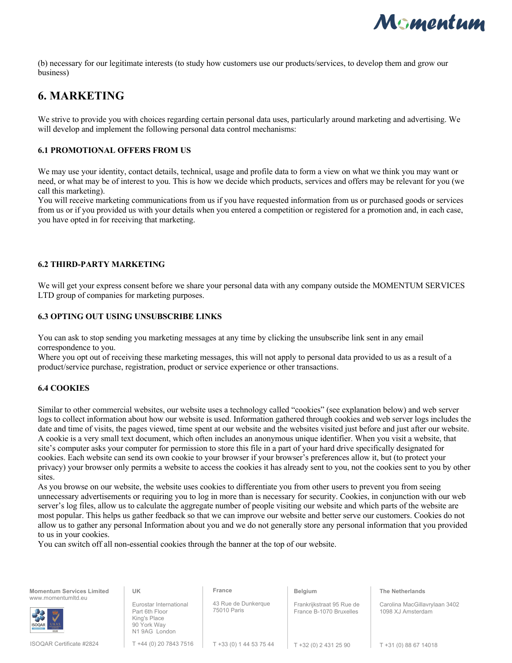

(b) necessary for our legitimate interests (to study how customers use our products/services, to develop them and grow our business)

### **6. MARKETING**

We strive to provide you with choices regarding certain personal data uses, particularly around marketing and advertising. We will develop and implement the following personal data control mechanisms:

#### **6.1 PROMOTIONAL OFFERS FROM US**

We may use your identity, contact details, technical, usage and profile data to form a view on what we think you may want or need, or what may be of interest to you. This is how we decide which products, services and offers may be relevant for you (we call this marketing).

You will receive marketing communications from us if you have requested information from us or purchased goods or services from us or if you provided us with your details when you entered a competition or registered for a promotion and, in each case, you have opted in for receiving that marketing.

#### **6.2 THIRD-PARTY MARKETING**

We will get your express consent before we share your personal data with any company outside the MOMENTUM SERVICES LTD group of companies for marketing purposes.

#### **6.3 OPTING OUT USING UNSUBSCRIBE LINKS**

You can ask to stop sending you marketing messages at any time by clicking the unsubscribe link sent in any email correspondence to you.

Where you opt out of receiving these marketing messages, this will not apply to personal data provided to us as a result of a product/service purchase, registration, product or service experience or other transactions.

#### **6.4 COOKIES**

Similar to other commercial websites, our website uses a technology called "cookies" (see explanation below) and web server logs to collect information about how our website is used. Information gathered through cookies and web server logs includes the date and time of visits, the pages viewed, time spent at our website and the websites visited just before and just after our website. A cookie is a very small text document, which often includes an anonymous unique identifier. When you visit a website, that site's computer asks your computer for permission to store this file in a part of your hard drive specifically designated for cookies. Each website can send its own cookie to your browser if your browser's preferences allow it, but (to protect your privacy) your browser only permits a website to access the cookies it has already sent to you, not the cookies sent to you by other sites.

As you browse on our website, the website uses cookies to differentiate you from other users to prevent you from seeing unnecessary advertisements or requiring you to log in more than is necessary for security. Cookies, in conjunction with our web server's log files, allow us to calculate the aggregate number of people visiting our website and which parts of the website are most popular. This helps us gather feedback so that we can improve our website and better serve our customers. Cookies do not allow us to gather any personal Information about you and we do not generally store any personal information that you provided to us in your cookies.

You can switch off all non-essential cookies through the banner at the top of our website.

| <b>Momentum Services Limited</b><br>www.momentumltd.eu | UK                                                                                      | France                             | <b>Belgium</b>                                       | <b>The Netherlands</b>                             |
|--------------------------------------------------------|-----------------------------------------------------------------------------------------|------------------------------------|------------------------------------------------------|----------------------------------------------------|
| <b>ISOQAR</b>                                          | Eurostar International<br>Part 6th Floor<br>King's Place<br>90 York Way<br>N19AG London | 43 Rue de Dunkerque<br>75010 Paris | Frankrijkstraat 95 Rue de<br>France B-1070 Bruxelles | Carolina MacGillavrylaan 3402<br>1098 XJ Amsterdam |
| <b>ISOQAR Certificate #2824</b>                        | T +44 (0) 20 7843 7516                                                                  | T +33 (0) 1 44 53 75 44            | T +32 (0) 2 431 25 90                                | T +31 (0) 88 67 14018                              |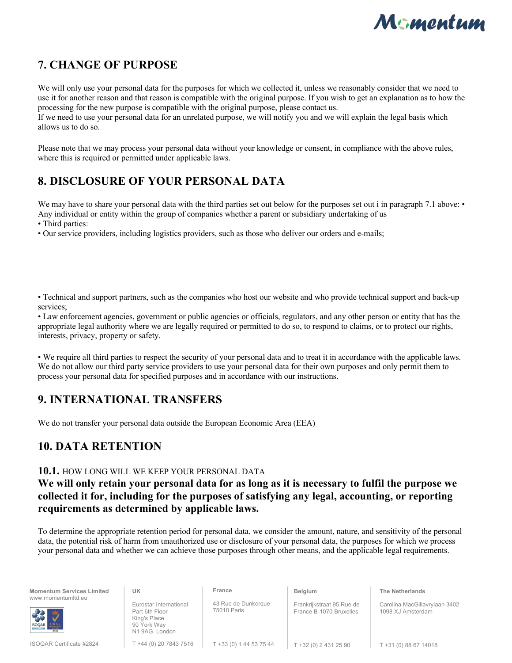

 $T + 31 (0) 88 67 14018$ 

## **7. CHANGE OF PURPOSE**

We will only use your personal data for the purposes for which we collected it, unless we reasonably consider that we need to use it for another reason and that reason is compatible with the original purpose. If you wish to get an explanation as to how the processing for the new purpose is compatible with the original purpose, please contact us. If we need to use your personal data for an unrelated purpose, we will notify you and we will explain the legal basis which allows us to do so.

Please note that we may process your personal data without your knowledge or consent, in compliance with the above rules, where this is required or permitted under applicable laws.

### **8. DISCLOSURE OF YOUR PERSONAL DATA**

We may have to share your personal data with the third parties set out below for the purposes set out i in paragraph 7.1 above: • Any individual or entity within the group of companies whether a parent or subsidiary undertaking of us

• Third parties:

• Our service providers, including logistics providers, such as those who deliver our orders and e-mails;

• Technical and support partners, such as the companies who host our website and who provide technical support and back-up services;

• Law enforcement agencies, government or public agencies or officials, regulators, and any other person or entity that has the appropriate legal authority where we are legally required or permitted to do so, to respond to claims, or to protect our rights, interests, privacy, property or safety.

• We require all third parties to respect the security of your personal data and to treat it in accordance with the applicable laws. We do not allow our third party service providers to use your personal data for their own purposes and only permit them to process your personal data for specified purposes and in accordance with our instructions.

### **9. INTERNATIONAL TRANSFERS**

We do not transfer your personal data outside the European Economic Area (EEA)

## **10. DATA RETENTION**

### **10.1.** HOW LONG WILL WE KEEP YOUR PERSONAL DATA

### **We will only retain your personal data for as long as it is necessary to fulfil the purpose we collected it for, including for the purposes of satisfying any legal, accounting, or reporting requirements as determined by applicable laws.**

To determine the appropriate retention period for personal data, we consider the amount, nature, and sensitivity of the personal data, the potential risk of harm from unauthorized use or disclosure of your personal data, the purposes for which we process your personal data and whether we can achieve those purposes through other means, and the applicable legal requirements.

| <b>Momentum Services Limited</b><br>www.momentumltd.eu | UK                                                                                      | France                             | Belgium                                              | <b>The Netherlands</b>                             |
|--------------------------------------------------------|-----------------------------------------------------------------------------------------|------------------------------------|------------------------------------------------------|----------------------------------------------------|
| 38 步<br><b>ISOQAR</b>                                  | Eurostar International<br>Part 6th Floor<br>King's Place<br>90 York Way<br>N19AG London | 43 Rue de Dunkerque<br>75010 Paris | Frankrijkstraat 95 Rue de<br>France B-1070 Bruxelles | Carolina MacGillavrylaan 3402<br>1098 XJ Amsterdam |

T +44 (0) 20 7843 7516 T +32 (0) 2 431 25 90 T +33 (0) 1 44 53 75 44

ISOQAR Certificate #2824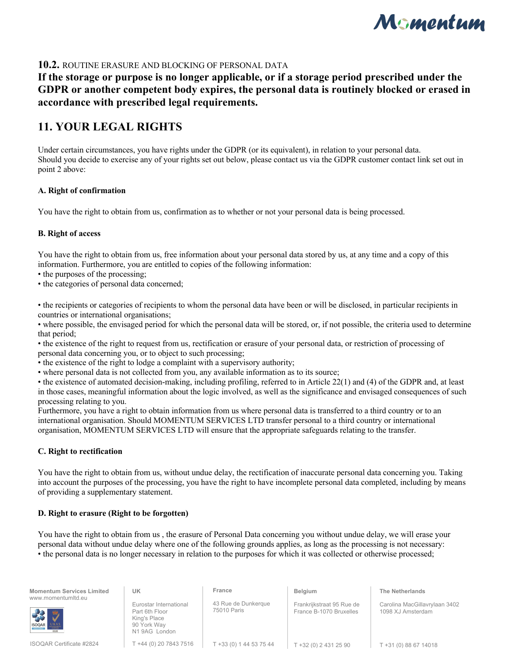

### **10.2.** ROUTINE ERASURE AND BLOCKING OF PERSONAL DATA

**If the storage or purpose is no longer applicable, or if a storage period prescribed under the GDPR or another competent body expires, the personal data is routinely blocked or erased in accordance with prescribed legal requirements.** 

### **11. YOUR LEGAL RIGHTS**

Under certain circumstances, you have rights under the GDPR (or its equivalent), in relation to your personal data. Should you decide to exercise any of your rights set out below, please contact us via the GDPR customer contact link set out in point 2 above:

#### **A. Right of confirmation**

You have the right to obtain from us, confirmation as to whether or not your personal data is being processed.

#### **B. Right of access**

You have the right to obtain from us, free information about your personal data stored by us, at any time and a copy of this information. Furthermore, you are entitled to copies of the following information:

• the purposes of the processing;

• the categories of personal data concerned;

• the recipients or categories of recipients to whom the personal data have been or will be disclosed, in particular recipients in countries or international organisations;

• where possible, the envisaged period for which the personal data will be stored, or, if not possible, the criteria used to determine that period;

• the existence of the right to request from us, rectification or erasure of your personal data, or restriction of processing of personal data concerning you, or to object to such processing;

• the existence of the right to lodge a complaint with a supervisory authority;

• where personal data is not collected from you, any available information as to its source;

• the existence of automated decision-making, including profiling, referred to in Article 22(1) and (4) of the GDPR and, at least in those cases, meaningful information about the logic involved, as well as the significance and envisaged consequences of such processing relating to you.

Furthermore, you have a right to obtain information from us where personal data is transferred to a third country or to an international organisation. Should MOMENTUM SERVICES LTD transfer personal to a third country or international organisation, MOMENTUM SERVICES LTD will ensure that the appropriate safeguards relating to the transfer.

#### **C. Right to rectification**

You have the right to obtain from us, without undue delay, the rectification of inaccurate personal data concerning you. Taking into account the purposes of the processing, you have the right to have incomplete personal data completed, including by means of providing a supplementary statement.

#### **D. Right to erasure (Right to be forgotten)**

You have the right to obtain from us , the erasure of Personal Data concerning you without undue delay, we will erase your personal data without undue delay where one of the following grounds applies, as long as the processing is not necessary: • the personal data is no longer necessary in relation to the purposes for which it was collected or otherwise processed;

| <b>Momentum Services Limited</b><br>www.momentumltd.eu | UK                                                                                      | France                             | <b>Belgium</b>                                       | <b>The Netherlands</b>                             |
|--------------------------------------------------------|-----------------------------------------------------------------------------------------|------------------------------------|------------------------------------------------------|----------------------------------------------------|
| <b>BR</b><br><b>ISOQAR</b>                             | Eurostar International<br>Part 6th Floor<br>King's Place<br>90 York Way<br>N19AG London | 43 Rue de Dunkerque<br>75010 Paris | Frankrijkstraat 95 Rue de<br>France B-1070 Bruxelles | Carolina MacGillavrylaan 3402<br>1098 XJ Amsterdam |
| <b>ISOQAR Certificate #2824</b>                        | T +44 (0) 20 7843 7516                                                                  | T +33 (0) 1 44 53 75 44            | $T + 32(0) 2 431 25 90$                              | T +31 (0) 88 67 14018                              |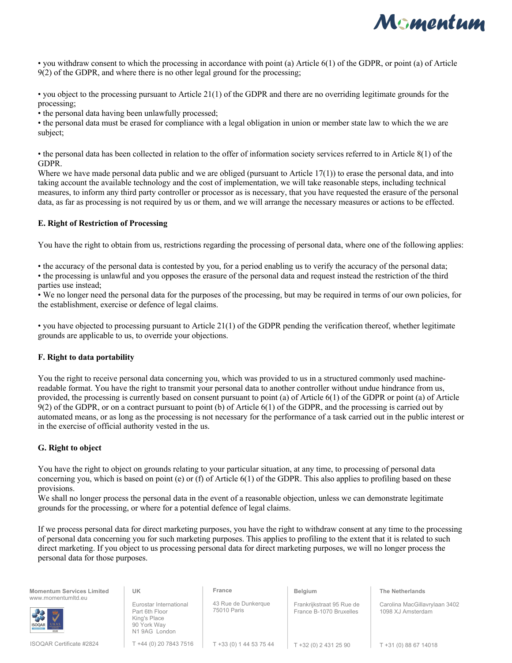

• you withdraw consent to which the processing in accordance with point (a) Article 6(1) of the GDPR, or point (a) of Article 9(2) of the GDPR, and where there is no other legal ground for the processing;

• you object to the processing pursuant to Article 21(1) of the GDPR and there are no overriding legitimate grounds for the processing;

• the personal data having been unlawfully processed;

• the personal data must be erased for compliance with a legal obligation in union or member state law to which the we are subject;

• the personal data has been collected in relation to the offer of information society services referred to in Article 8(1) of the GDPR.

Where we have made personal data public and we are obliged (pursuant to Article 17(1)) to erase the personal data, and into taking account the available technology and the cost of implementation, we will take reasonable steps, including technical measures, to inform any third party controller or processor as is necessary, that you have requested the erasure of the personal data, as far as processing is not required by us or them, and we will arrange the necessary measures or actions to be effected.

#### **E. Right of Restriction of Processing**

You have the right to obtain from us, restrictions regarding the processing of personal data, where one of the following applies:

• the accuracy of the personal data is contested by you, for a period enabling us to verify the accuracy of the personal data; • the processing is unlawful and you opposes the erasure of the personal data and request instead the restriction of the third parties use instead;

• We no longer need the personal data for the purposes of the processing, but may be required in terms of our own policies, for the establishment, exercise or defence of legal claims.

• you have objected to processing pursuant to Article 21(1) of the GDPR pending the verification thereof, whether legitimate grounds are applicable to us, to override your objections.

#### **F. Right to data portability**

You the right to receive personal data concerning you, which was provided to us in a structured commonly used machinereadable format. You have the right to transmit your personal data to another controller without undue hindrance from us, provided, the processing is currently based on consent pursuant to point (a) of Article 6(1) of the GDPR or point (a) of Article 9(2) of the GDPR, or on a contract pursuant to point (b) of Article 6(1) of the GDPR, and the processing is carried out by automated means, or as long as the processing is not necessary for the performance of a task carried out in the public interest or in the exercise of official authority vested in the us.

#### **G. Right to object**

You have the right to object on grounds relating to your particular situation, at any time, to processing of personal data concerning you, which is based on point (e) or (f) of Article 6(1) of the GDPR. This also applies to profiling based on these provisions.

We shall no longer process the personal data in the event of a reasonable objection, unless we can demonstrate legitimate grounds for the processing, or where for a potential defence of legal claims.

If we process personal data for direct marketing purposes, you have the right to withdraw consent at any time to the processing of personal data concerning you for such marketing purposes. This applies to profiling to the extent that it is related to such direct marketing. If you object to us processing personal data for direct marketing purposes, we will no longer process the personal data for those purposes.

| <b>Momentum Services Limited</b>              | UK                                                                                       | France                             | Belgium                                              | <b>The Netherlands</b>                             |
|-----------------------------------------------|------------------------------------------------------------------------------------------|------------------------------------|------------------------------------------------------|----------------------------------------------------|
| www.momentumltd.eu<br><b>RED WAS</b><br>U K A | Eurostar International<br>Part 6th Floor<br>King's Place<br>90 York Way<br>N1 9AG London | 43 Rue de Dunkerque<br>75010 Paris | Frankrijkstraat 95 Rue de<br>France B-1070 Bruxelles | Carolina MacGillavrylaan 3402<br>1098 XJ Amsterdam |
| <b>ISOQAR Certificate #2824</b>               | T +44 (0) 20 7843 7516                                                                   | T +33 (0) 1 44 53 75 44            | T +32 (0) 2 431 25 90                                | T +31 (0) 88 67 14018                              |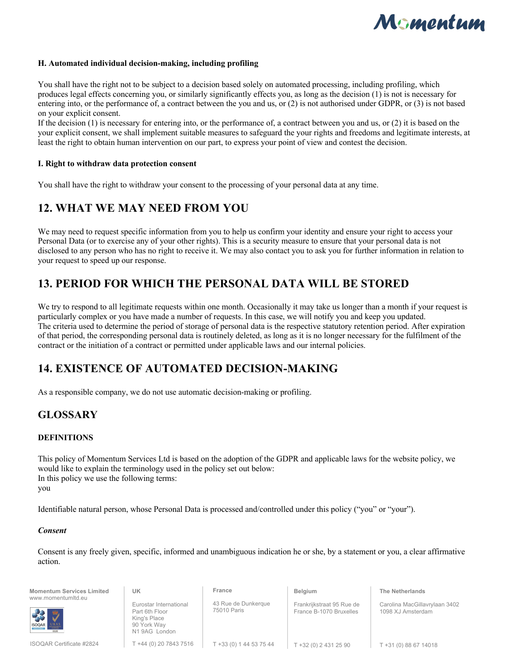

#### **H. Automated individual decision-making, including profiling**

You shall have the right not to be subject to a decision based solely on automated processing, including profiling, which produces legal effects concerning you, or similarly significantly effects you, as long as the decision (1) is not is necessary for entering into, or the performance of, a contract between the you and us, or (2) is not authorised under GDPR, or (3) is not based on your explicit consent.

If the decision (1) is necessary for entering into, or the performance of, a contract between you and us, or (2) it is based on the your explicit consent, we shall implement suitable measures to safeguard the your rights and freedoms and legitimate interests, at least the right to obtain human intervention on our part, to express your point of view and contest the decision.

#### **I. Right to withdraw data protection consent**

You shall have the right to withdraw your consent to the processing of your personal data at any time.

### **12. WHAT WE MAY NEED FROM YOU**

We may need to request specific information from you to help us confirm your identity and ensure your right to access your Personal Data (or to exercise any of your other rights). This is a security measure to ensure that your personal data is not disclosed to any person who has no right to receive it. We may also contact you to ask you for further information in relation to your request to speed up our response.

### **13. PERIOD FOR WHICH THE PERSONAL DATA WILL BE STORED**

We try to respond to all legitimate requests within one month. Occasionally it may take us longer than a month if your request is particularly complex or you have made a number of requests. In this case, we will notify you and keep you updated. The criteria used to determine the period of storage of personal data is the respective statutory retention period. After expiration of that period, the corresponding personal data is routinely deleted, as long as it is no longer necessary for the fulfilment of the contract or the initiation of a contract or permitted under applicable laws and our internal policies.

### **14. EXISTENCE OF AUTOMATED DECISION-MAKING**

As a responsible company, we do not use automatic decision-making or profiling.

### **GLOSSARY**

#### **DEFINITIONS**

This policy of Momentum Services Ltd is based on the adoption of the GDPR and applicable laws for the website policy, we would like to explain the terminology used in the policy set out below: In this policy we use the following terms: you

Identifiable natural person, whose Personal Data is processed and/controlled under this policy ("you" or "your").

#### *Consent*

Consent is any freely given, specific, informed and unambiguous indication he or she, by a statement or you, a clear affirmative action.

| <b>Momentum Services Limited</b><br>www.momentumitd.eu | UK                                                                                      | France                             | <b>Belgium</b>                                       | <b>The Netherlands</b>                             |
|--------------------------------------------------------|-----------------------------------------------------------------------------------------|------------------------------------|------------------------------------------------------|----------------------------------------------------|
| SOOAR UKAS                                             | Eurostar International<br>Part 6th Floor<br>King's Place<br>90 York Way<br>N19AG London | 43 Rue de Dunkerque<br>75010 Paris | Frankrijkstraat 95 Rue de<br>France B-1070 Bruxelles | Carolina MacGillavrylaan 3402<br>1098 XJ Amsterdam |
| ISOQAR Certificate #2824                               | T +44 (0) 20 7843 7516                                                                  | T +33 (0) 1 44 53 75 44            | $T + 32(0) 2 431 25 90$                              | T +31 (0) 88 67 14018                              |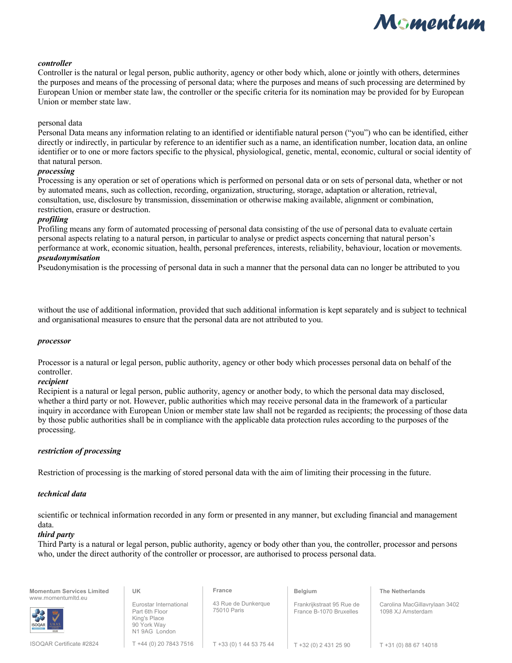

#### *controller*

Controller is the natural or legal person, public authority, agency or other body which, alone or jointly with others, determines the purposes and means of the processing of personal data; where the purposes and means of such processing are determined by European Union or member state law, the controller or the specific criteria for its nomination may be provided for by European Union or member state law.

#### personal data

Personal Data means any information relating to an identified or identifiable natural person ("you") who can be identified, either directly or indirectly, in particular by reference to an identifier such as a name, an identification number, location data, an online identifier or to one or more factors specific to the physical, physiological, genetic, mental, economic, cultural or social identity of that natural person.

#### *processing*

Processing is any operation or set of operations which is performed on personal data or on sets of personal data, whether or not by automated means, such as collection, recording, organization, structuring, storage, adaptation or alteration, retrieval, consultation, use, disclosure by transmission, dissemination or otherwise making available, alignment or combination, restriction, erasure or destruction.

#### *profiling*

Profiling means any form of automated processing of personal data consisting of the use of personal data to evaluate certain personal aspects relating to a natural person, in particular to analyse or predict aspects concerning that natural person's performance at work, economic situation, health, personal preferences, interests, reliability, behaviour, location or movements.

#### *pseudonymisation*

Pseudonymisation is the processing of personal data in such a manner that the personal data can no longer be attributed to you

without the use of additional information, provided that such additional information is kept separately and is subject to technical and organisational measures to ensure that the personal data are not attributed to you.

#### *processor*

Processor is a natural or legal person, public authority, agency or other body which processes personal data on behalf of the controller.

#### *recipient*

Recipient is a natural or legal person, public authority, agency or another body, to which the personal data may disclosed, whether a third party or not. However, public authorities which may receive personal data in the framework of a particular inquiry in accordance with European Union or member state law shall not be regarded as recipients; the processing of those data by those public authorities shall be in compliance with the applicable data protection rules according to the purposes of the processing.

#### *restriction of processing*

Restriction of processing is the marking of stored personal data with the aim of limiting their processing in the future.

#### *technical data*

scientific or technical information recorded in any form or presented in any manner, but excluding financial and management data.

#### *third party*

Third Party is a natural or legal person, public authority, agency or body other than you, the controller, processor and persons who, under the direct authority of the controller or processor, are authorised to process personal data.

| <b>Momentum Services Limited</b><br>www.momentumltd.eu | UK                                                                                       | France                             | <b>Belgium</b>                                       | <b>The Netherlands</b>                             |
|--------------------------------------------------------|------------------------------------------------------------------------------------------|------------------------------------|------------------------------------------------------|----------------------------------------------------|
| SOOAR UKAS                                             | Eurostar International<br>Part 6th Floor<br>King's Place<br>90 York Wav<br>N1 9AG London | 43 Rue de Dunkerque<br>75010 Paris | Frankrijkstraat 95 Rue de<br>France B-1070 Bruxelles | Carolina MacGillavrylaan 3402<br>1098 XJ Amsterdam |

T +44 (0) 20 7843 7516 T +33 (0) 1 44 53 75 44

 $\vert$  T +32 (0) 2 431 25 90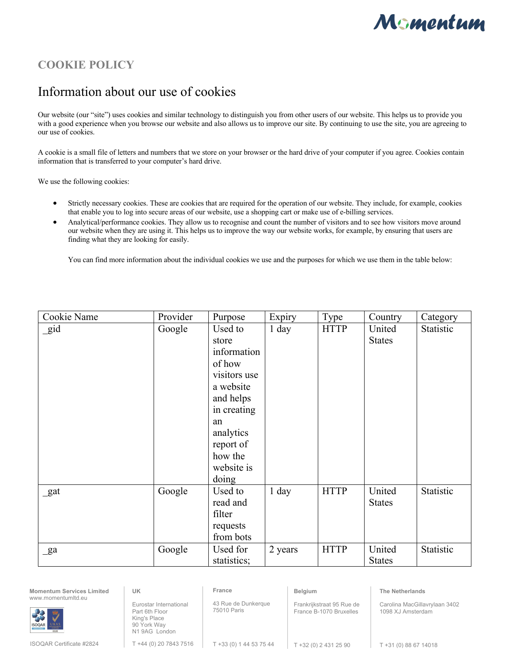

## **COOKIE POLICY**

# Information about our use of cookies

Our website (our "site") uses cookies and similar technology to distinguish you from other users of our website. This helps us to provide you with a good experience when you browse our website and also allows us to improve our site. By continuing to use the site, you are agreeing to our use of cookies.

A cookie is a small file of letters and numbers that we store on your browser or the hard drive of your computer if you agree. Cookies contain information that is transferred to your computer's hard drive.

We use the following cookies:

- Strictly necessary cookies. These are cookies that are required for the operation of our website. They include, for example, cookies that enable you to log into secure areas of our website, use a shopping cart or make use of e-billing services.
- Analytical/performance cookies. They allow us to recognise and count the number of visitors and to see how visitors move around our website when they are using it. This helps us to improve the way our website works, for example, by ensuring that users are finding what they are looking for easily.

You can find more information about the individual cookies we use and the purposes for which we use them in the table below:

| Cookie Name    | Provider | Purpose      | Expiry  | Type        | Country       | Category  |
|----------------|----------|--------------|---------|-------------|---------------|-----------|
| gid            | Google   | Used to      | 1 day   | <b>HTTP</b> | United        | Statistic |
|                |          | store        |         |             | <b>States</b> |           |
|                |          | information  |         |             |               |           |
|                |          | of how       |         |             |               |           |
|                |          | visitors use |         |             |               |           |
|                |          | a website    |         |             |               |           |
|                |          | and helps    |         |             |               |           |
|                |          | in creating  |         |             |               |           |
|                |          | an           |         |             |               |           |
|                |          | analytics    |         |             |               |           |
|                |          | report of    |         |             |               |           |
|                |          | how the      |         |             |               |           |
|                |          | website is   |         |             |               |           |
|                |          | doing        |         |             |               |           |
| _gat           | Google   | Used to      | 1 day   | <b>HTTP</b> | United        | Statistic |
|                |          | read and     |         |             | <b>States</b> |           |
|                |          | filter       |         |             |               |           |
|                |          | requests     |         |             |               |           |
|                |          | from bots    |         |             |               |           |
| $\mathbf{g}$ a | Google   | Used for     | 2 years | <b>HTTP</b> | United        | Statistic |
|                |          | statistics;  |         |             | <b>States</b> |           |

| <b>Momentum Services Limited</b><br>www.momentumltd.eu | UK                                                                                      | France                             | Belgium                                              | <b>The Netherlands</b>                             |
|--------------------------------------------------------|-----------------------------------------------------------------------------------------|------------------------------------|------------------------------------------------------|----------------------------------------------------|
| <b>BR</b> 3<br><b>ISOQAR</b>                           | Eurostar International<br>Part 6th Floor<br>King's Place<br>90 York Way<br>N19AG London | 43 Rue de Dunkerque<br>75010 Paris | Frankrijkstraat 95 Rue de<br>France B-1070 Bruxelles | Carolina MacGillavrylaan 3402<br>1098 XJ Amsterdam |
| <b>ISOQAR Certificate #2824</b>                        | T +44 (0) 20 7843 7516                                                                  | T +33 (0) 1 44 53 75 44            | T +32 (0) 2 431 25 90                                | T +31 (0) 88 67 14018                              |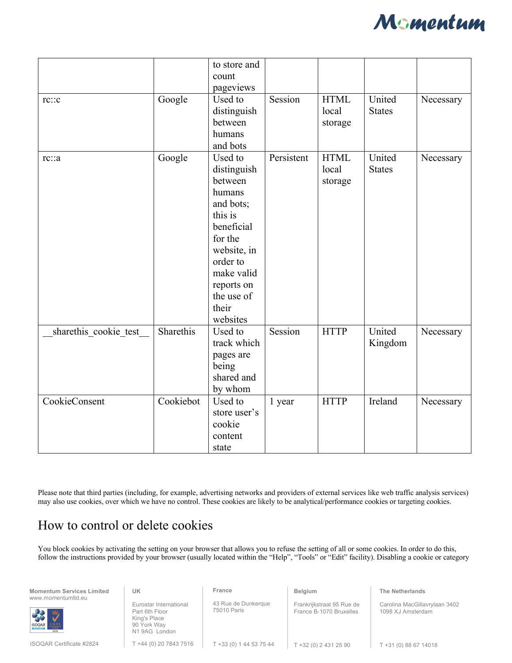

| rc::c                 | Google    | to store and<br>count<br>pageviews<br>Used to<br>distinguish<br>between                                                                                                                | Session    | <b>HTML</b><br>local<br>storage | United<br><b>States</b> | Necessary |
|-----------------------|-----------|----------------------------------------------------------------------------------------------------------------------------------------------------------------------------------------|------------|---------------------------------|-------------------------|-----------|
|                       |           | humans<br>and bots                                                                                                                                                                     |            |                                 |                         |           |
| rc::a                 | Google    | Used to<br>distinguish<br>between<br>humans<br>and bots;<br>this is<br>beneficial<br>for the<br>website, in<br>order to<br>make valid<br>reports on<br>the use of<br>their<br>websites | Persistent | <b>HTML</b><br>local<br>storage | United<br><b>States</b> | Necessary |
| sharethis_cookie_test | Sharethis | Used to<br>track which<br>pages are<br>being<br>shared and<br>by whom                                                                                                                  | Session    | <b>HTTP</b>                     | United<br>Kingdom       | Necessary |
| CookieConsent         | Cookiebot | Used to<br>store user's<br>cookie<br>content<br>state                                                                                                                                  | 1 year     | <b>HTTP</b>                     | Ireland                 | Necessary |

Please note that third parties (including, for example, advertising networks and providers of external services like web traffic analysis services) may also use cookies, over which we have no control. These cookies are likely to be analytical/performance cookies or targeting cookies.

# How to control or delete cookies

You block cookies by activating the setting on your browser that allows you to refuse the setting of all or some cookies. In order to do this, follow the instructions provided by your browser (usually located within the "Help", "Tools" or "Edit" facility). Disabling a cookie or category

| <b>Momentum Services Limited</b><br>www.momentumltd.eu | UK                                                                                      | France                             | Belgium                                              | <b>The Netherlands</b>                             |  |
|--------------------------------------------------------|-----------------------------------------------------------------------------------------|------------------------------------|------------------------------------------------------|----------------------------------------------------|--|
| <b>RECORD DEADS</b>                                    | Eurostar International<br>Part 6th Floor<br>King's Place<br>90 York Way<br>N19AG London | 43 Rue de Dunkerque<br>75010 Paris | Frankrijkstraat 95 Rue de<br>France B-1070 Bruxelles | Carolina MacGillavrylaan 3402<br>1098 XJ Amsterdam |  |
| ISOQAR Certificate #2824                               | T +44 (0) 20 7843 7516                                                                  | T +33 (0) 1 44 53 75 44            | T +32 (0) 2 431 25 90                                | T +31 (0) 88 67 14018                              |  |